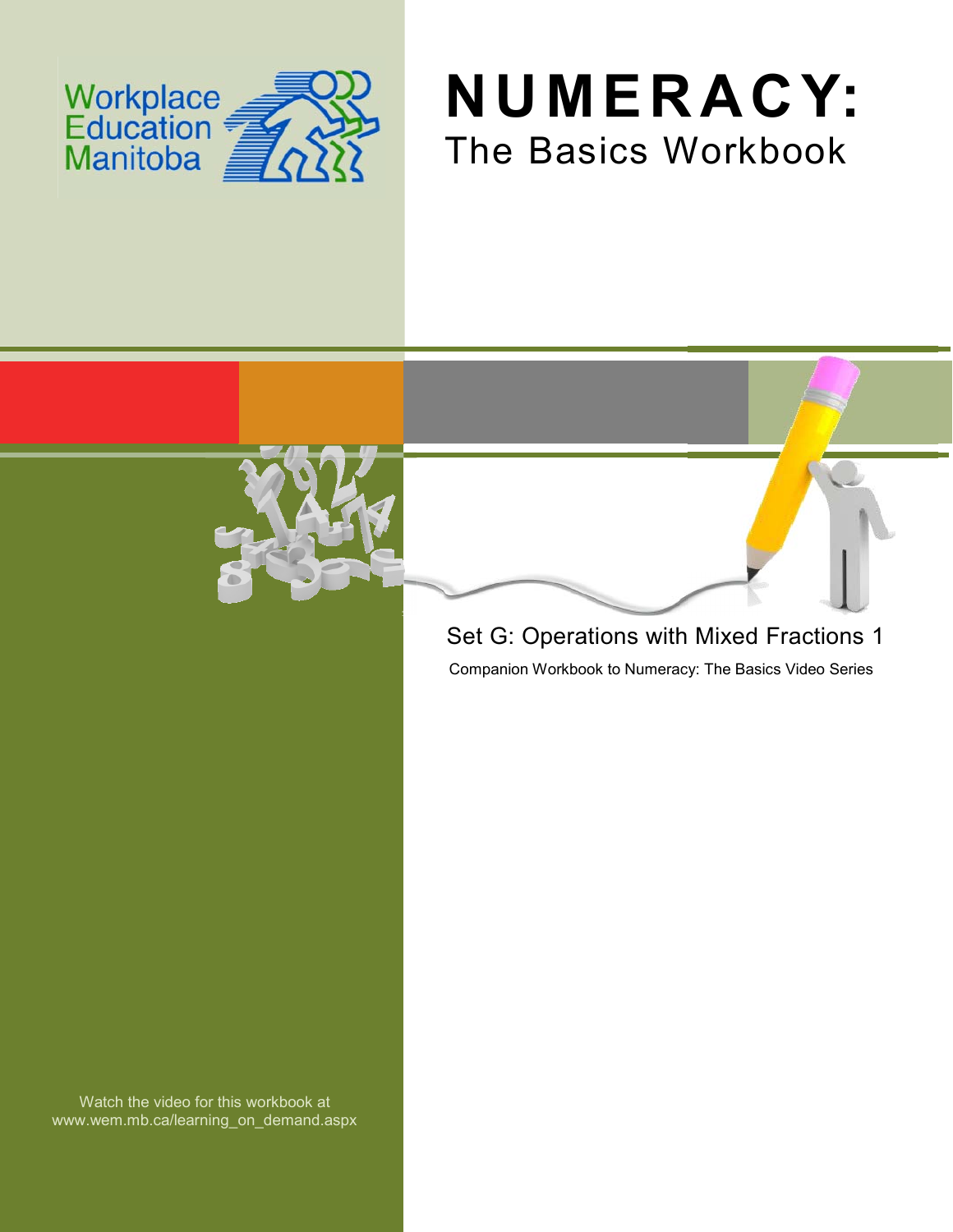





## Set G: Operations with Mixed Fractions 1

Companion Workbook to Numeracy: The Basics Video Series

Watch the video for this workbook at www.wem.mb.ca/learning\_on\_demand.aspx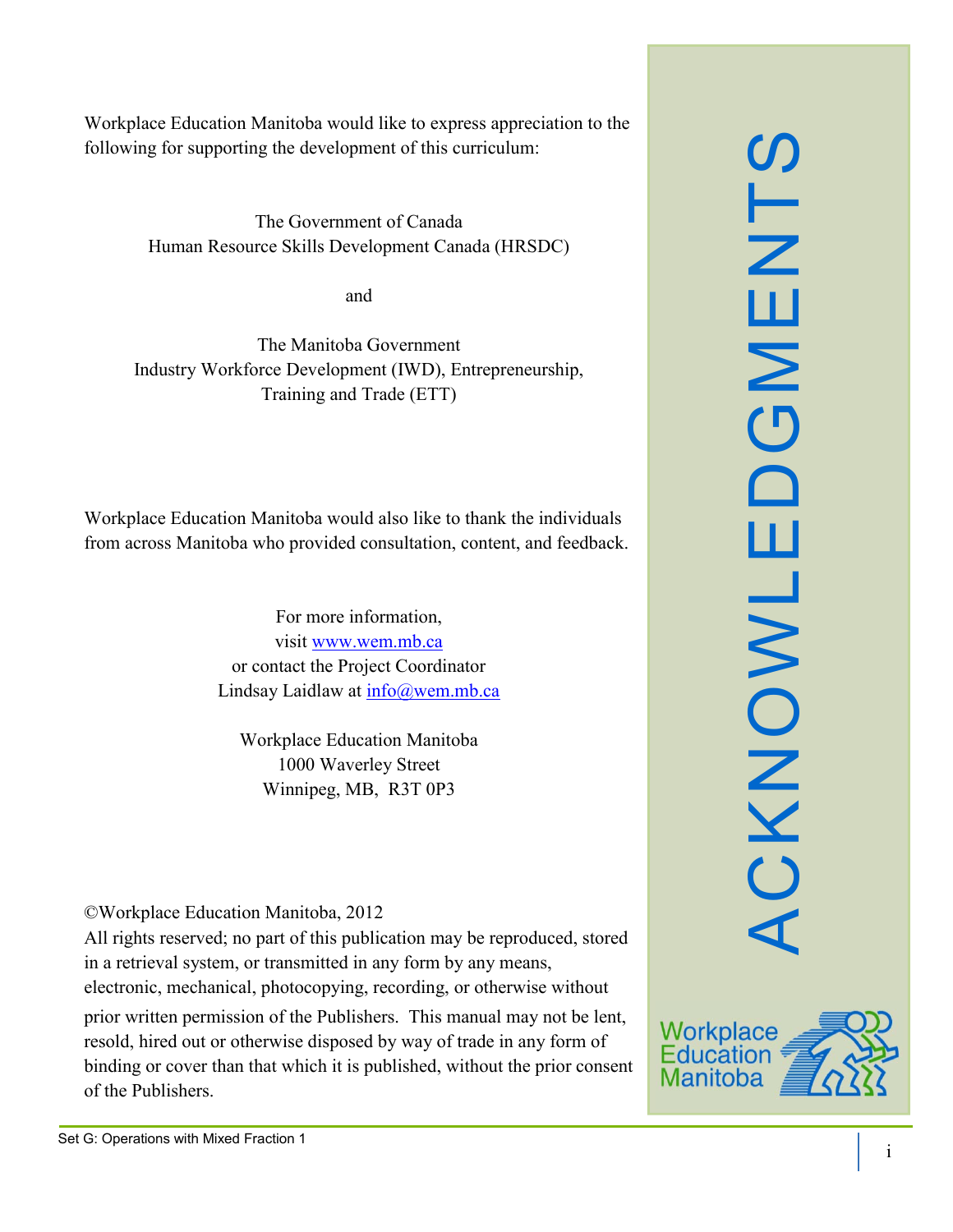Workplace Education Manitoba would like to express appreciation to the following for supporting the development of this curriculum:

> The Government of Canada Human Resource Skills Development Canada (HRSDC)

> > and

The Manitoba Government Industry Workforce Development (IWD), Entrepreneurship, Training and Trade (ETT)

Workplace Education Manitoba would also like to thank the individuals from across Manitoba who provided consultation, content, and feedback.

> For more information, visit [www.wem.mb.ca](http://www.wem.mb.ca/) or contact the Project Coordinator Lindsay Laidlaw at [info@wem.mb.ca](mailto:info@wem.mb.ca)

Workplace Education Manitoba 1000 Waverley Street Winnipeg, MB, R3T 0P3

©Workplace Education Manitoba, 2012

All rights reserved; no part of this publication may be reproduced, stored in a retrieval system, or transmitted in any form by any means, electronic, mechanical, photocopying, recording, or otherwise without

prior written permission of the Publishers. This manual may not be lent, resold, hired out or otherwise disposed by way of trade in any form of binding or cover than that which it is published, without the prior consent of the Publishers.



ACKNOWLEDGMENTS

CKNOWL

ш

 $\Box$ 

S<br>TM<br>E

 $\mathsf{z}$ 

 $\overline{\mathbf{C}}$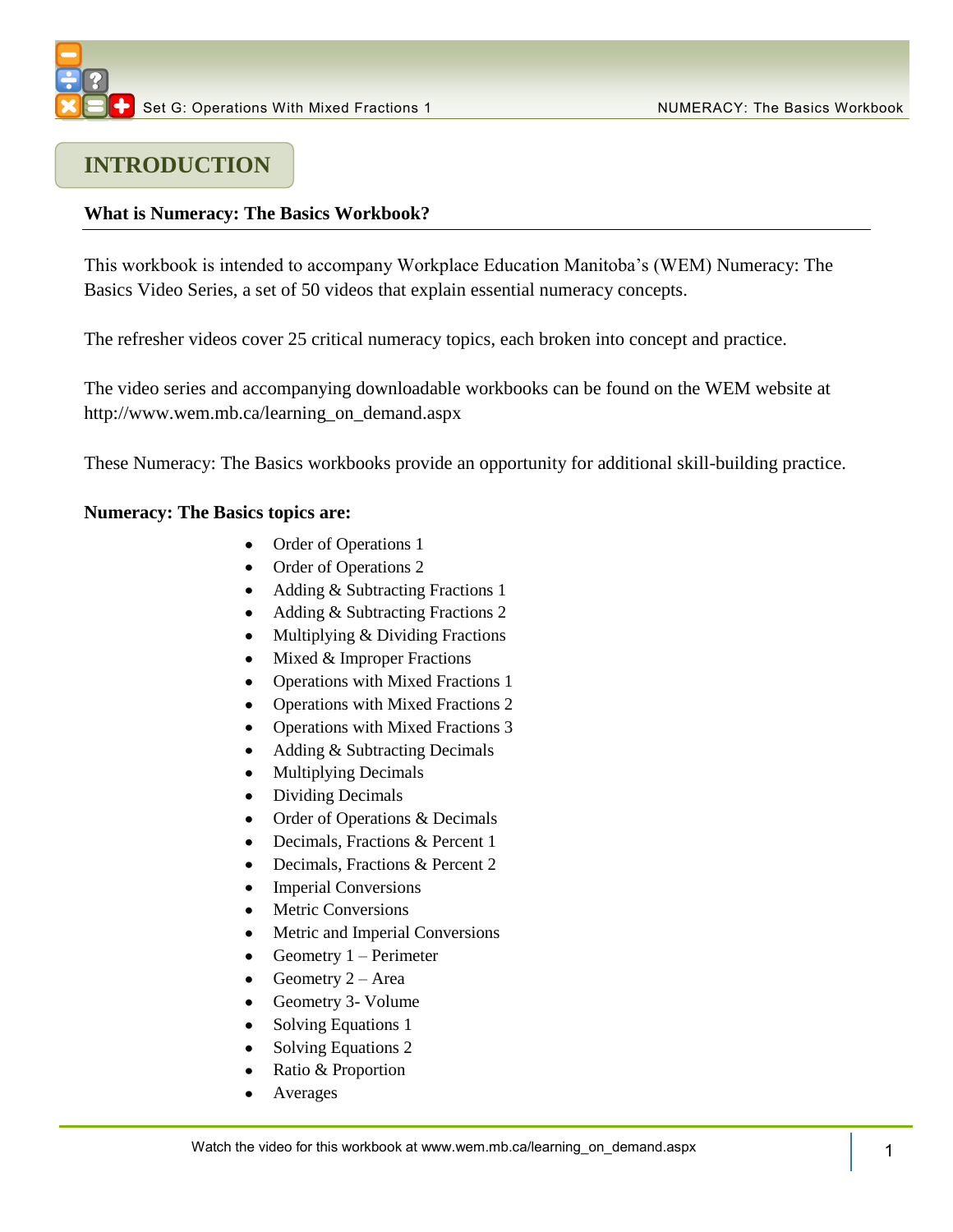

## **INTRODUCTION**

#### **What is Numeracy: The Basics Workbook?**

This workbook is intended to accompany Workplace Education Manitoba's (WEM) Numeracy: The Basics Video Series, a set of 50 videos that explain essential numeracy concepts.

The refresher videos cover 25 critical numeracy topics, each broken into concept and practice.

The video series and accompanying downloadable workbooks can be found on the WEM website at [http://www.wem.mb.ca/learning\\_on\\_demand.aspx](http://www.wem.mb.ca/learning_on_demand.aspx)

These Numeracy: The Basics workbooks provide an opportunity for additional skill-building practice.

#### **Numeracy: The Basics topics are:**

- Order of Operations 1
- Order of Operations 2
- Adding & Subtracting Fractions 1
- Adding & Subtracting Fractions 2
- Multiplying & Dividing Fractions  $\bullet$
- $\bullet$  Mixed & Improper Fractions
- Operations with Mixed Fractions 1  $\bullet$
- Operations with Mixed Fractions 2
- Operations with Mixed Fractions 3
- $\bullet$ Adding & Subtracting Decimals
- Multiplying Decimals
- Dividing Decimals  $\bullet$
- Order of Operations & Decimals  $\bullet$
- Decimals, Fractions & Percent 1  $\bullet$
- Decimals, Fractions & Percent 2  $\bullet$
- Imperial Conversions
- Metric Conversions
- Metric and Imperial Conversions
- Geometry 1 Perimeter  $\bullet$
- Geometry  $2 Area$
- Geometry 3- Volume
- Solving Equations 1
- Solving Equations 2
- Ratio & Proportion  $\bullet$
- Averages  $\bullet$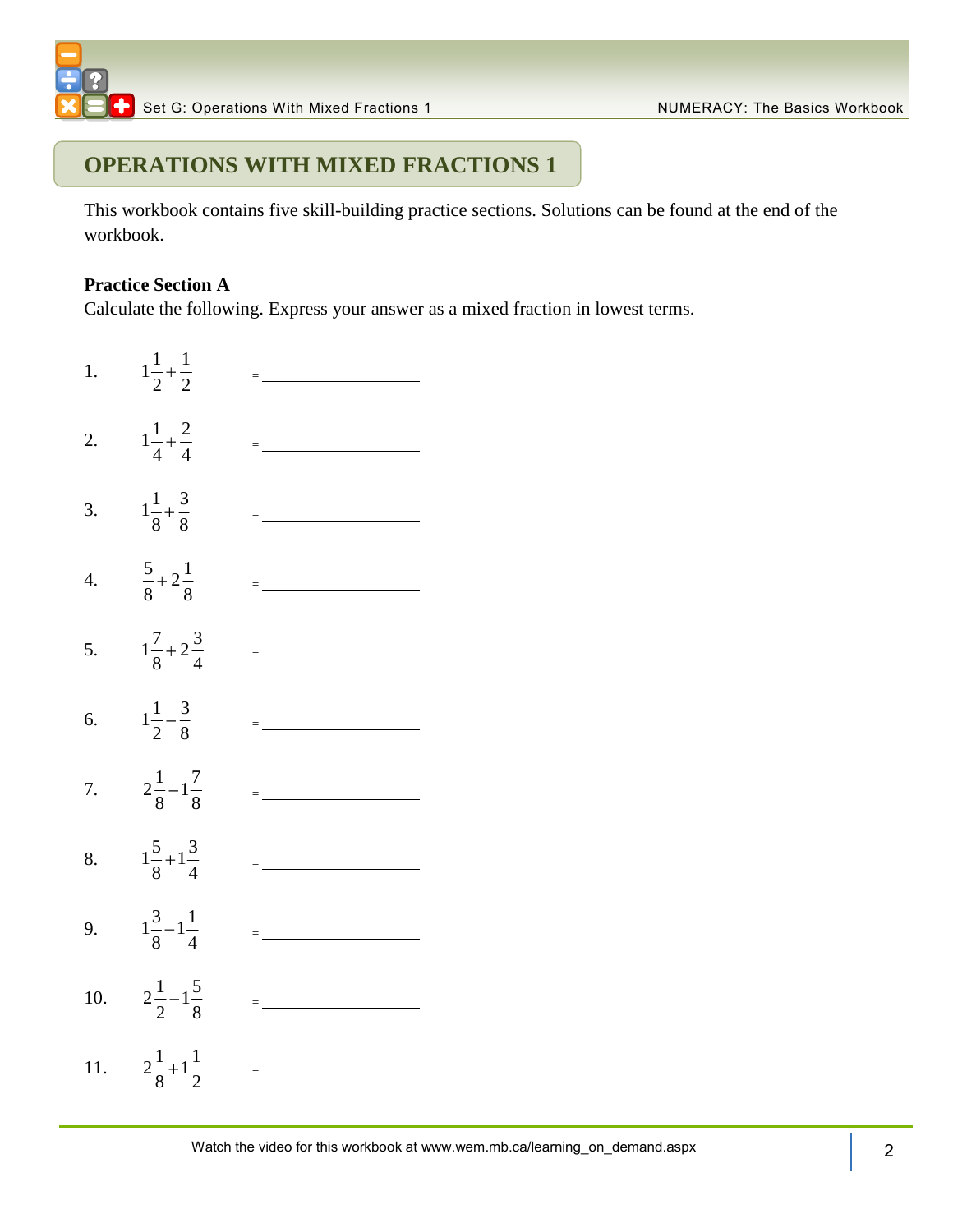### **OPERATIONS WITH MIXED FRACTIONS 1**

This workbook contains five skill-building practice sections. Solutions can be found at the end of the workbook.

#### **Practice Section A**

Calculate the following. Express your answer as a mixed fraction in lowest terms.

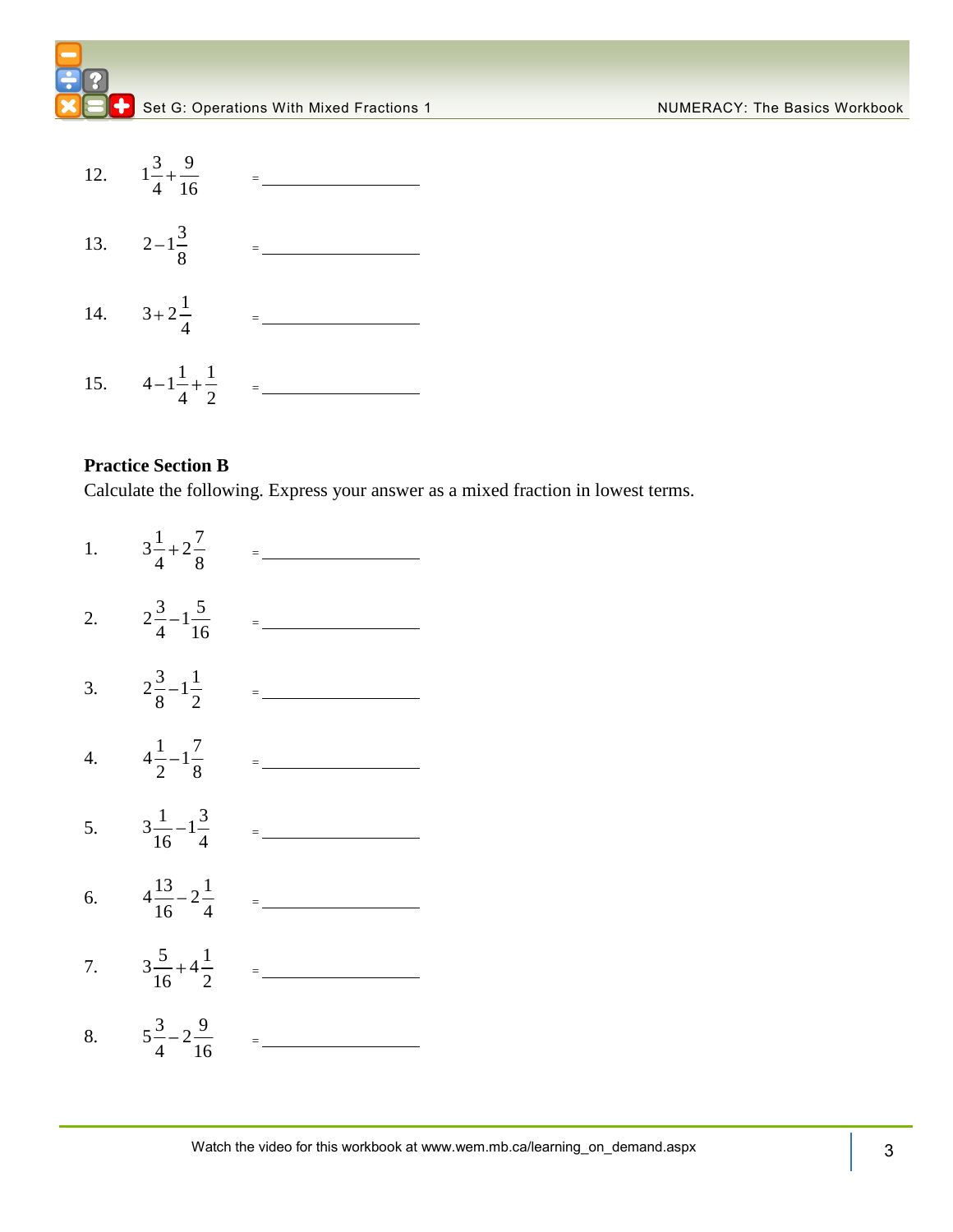



#### **Practice Section B**

Calculate the following. Express your answer as a mixed fraction in lowest terms.

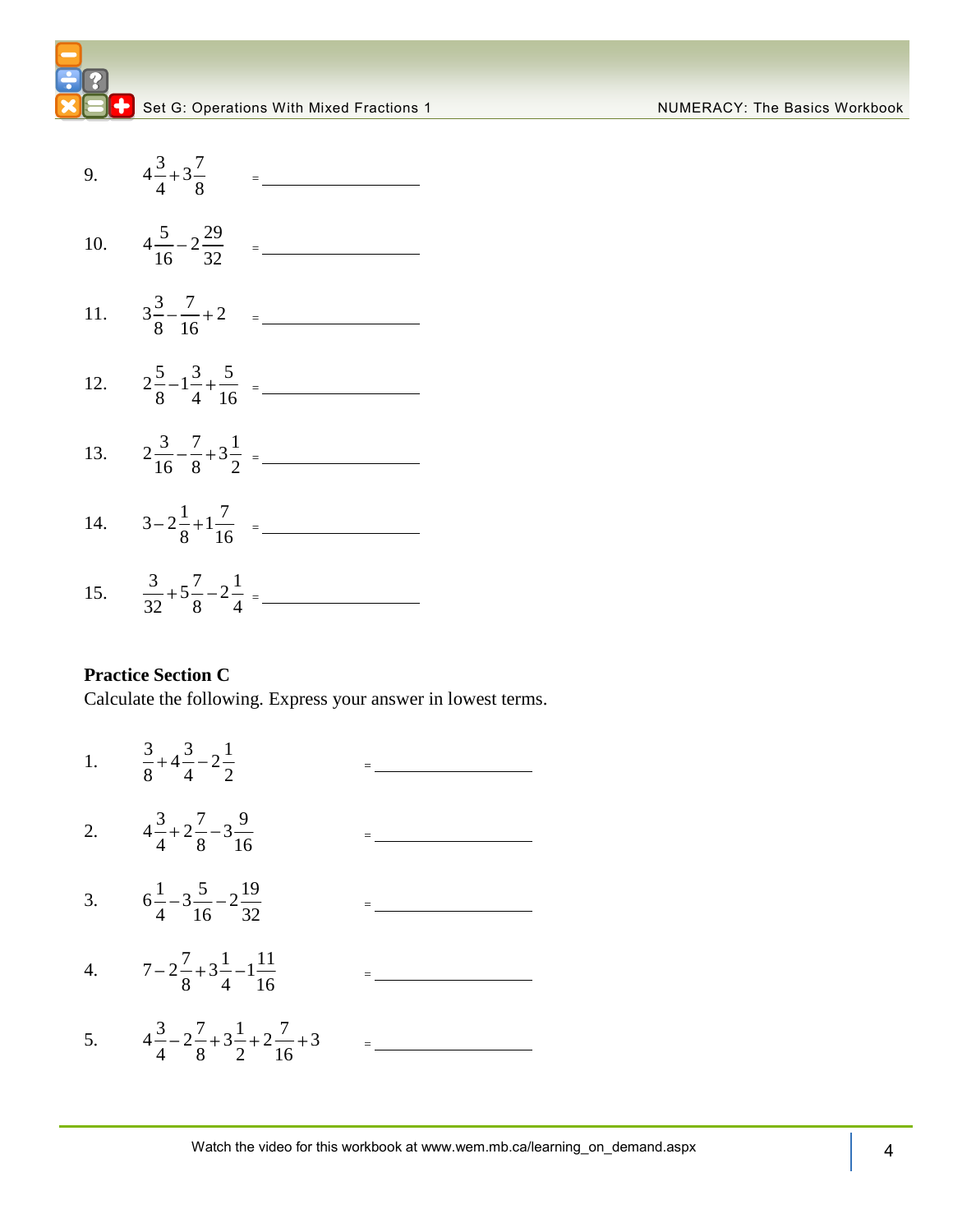



15.  $\frac{3}{2} + 5 \frac{7}{2} - 2 \frac{1}{4}$  $\frac{1}{32}+5\frac{1}{8}-2\frac{1}{4}=$ 

#### **Practice Section C**

Calculate the following. Express your answer in lowest terms.

1.  $\frac{3}{2}+4\frac{3}{2}-2\frac{1}{2}$ 8 4 2 = 2.  $4\frac{3}{1}+2\frac{7}{2}-3\frac{9}{1}$ 4 8 16 = 3.  $6\frac{1}{1} - 3\frac{5}{1} - 2\frac{19}{2}$  $4\degree$  16  $\degree$  32 = 4.  $7-2\frac{7}{8}+3\frac{1}{4}-1\frac{11}{16}$  $8^{-13}$   $4^{-1}$  16  $=\underbrace{\qquad \qquad }$ 5.  $4\frac{3}{4} - 2\frac{7}{8} + 3\frac{1}{2} + 2\frac{7}{16} + 3$  $\frac{1}{4}$  – 2  $\frac{1}{8}$  + 3  $\frac{1}{2}$  + 2  $\frac{1}{16}$ =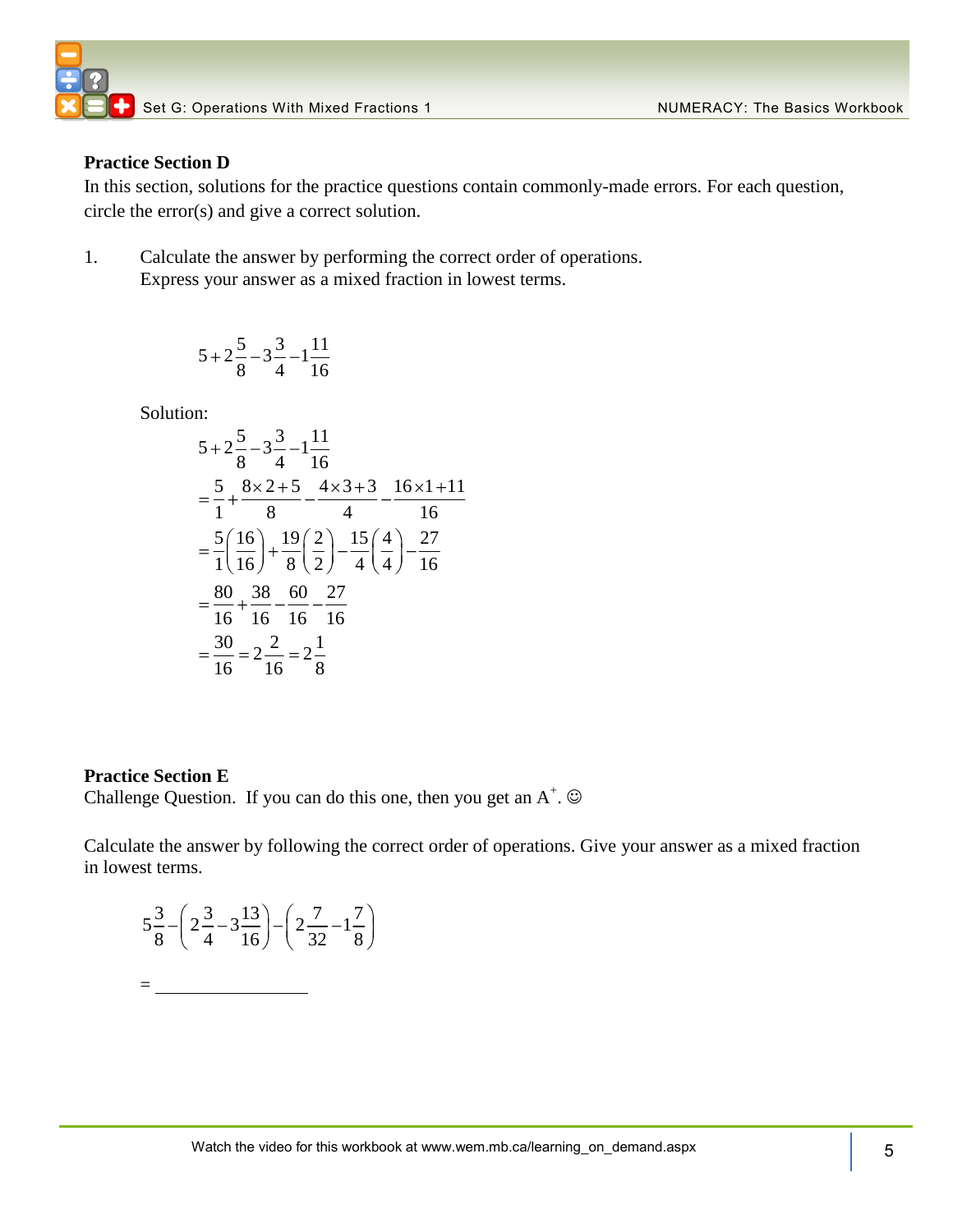

#### **Practice Section D**

In this section, solutions for the practice questions contain commonly-made errors. For each question, circle the error(s) and give a correct solution.

1. Calculate the answer by performing the correct order of operations. Express your answer as a mixed fraction in lowest terms.

$$
5 + 2\frac{5}{8} - 3\frac{3}{4} - 1\frac{11}{16}
$$

Solution:

n:  
\n
$$
5+2\frac{5}{8}-3\frac{3}{4}-1\frac{11}{16}
$$
\n
$$
=\frac{5}{1}+\frac{8\times2+5}{8}-\frac{4\times3+3}{4}-\frac{16\times1+11}{16}
$$
\n
$$
=\frac{5}{1}\left(\frac{16}{16}\right)+\frac{19}{8}\left(\frac{2}{2}\right)-\frac{15}{4}\left(\frac{4}{4}\right)-\frac{27}{16}
$$
\n
$$
=\frac{80}{16}+ \frac{38}{16}-\frac{60}{16}-\frac{27}{16}
$$
\n
$$
=\frac{30}{16}=2\frac{2}{16}=2\frac{1}{8}
$$

#### **Practice Section E**

 $=$ 

Challenge Question. If you can do this one, then you get an  $A^+$ .  $\odot$ 

Calculate the answer by following the correct order of operations. Give your answer as a mixed fraction in lowest terms.

$$
5\frac{3}{8} - \left(2\frac{3}{4} - 3\frac{13}{16}\right) - \left(2\frac{7}{32} - 1\frac{7}{8}\right)
$$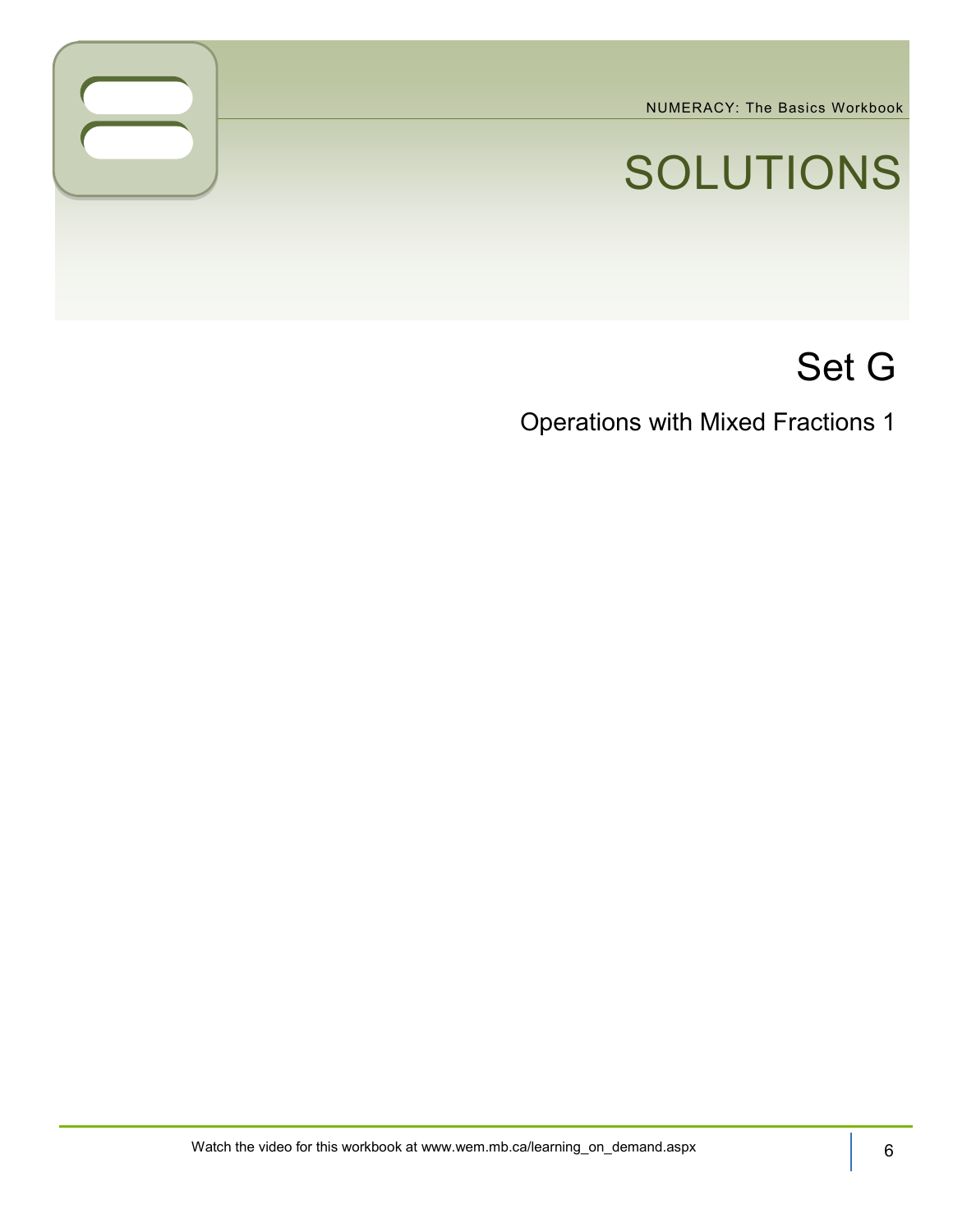NUMERACY: The Basics Workbook

# SOLUTIONS

## Set G

Operations with Mixed Fractions 1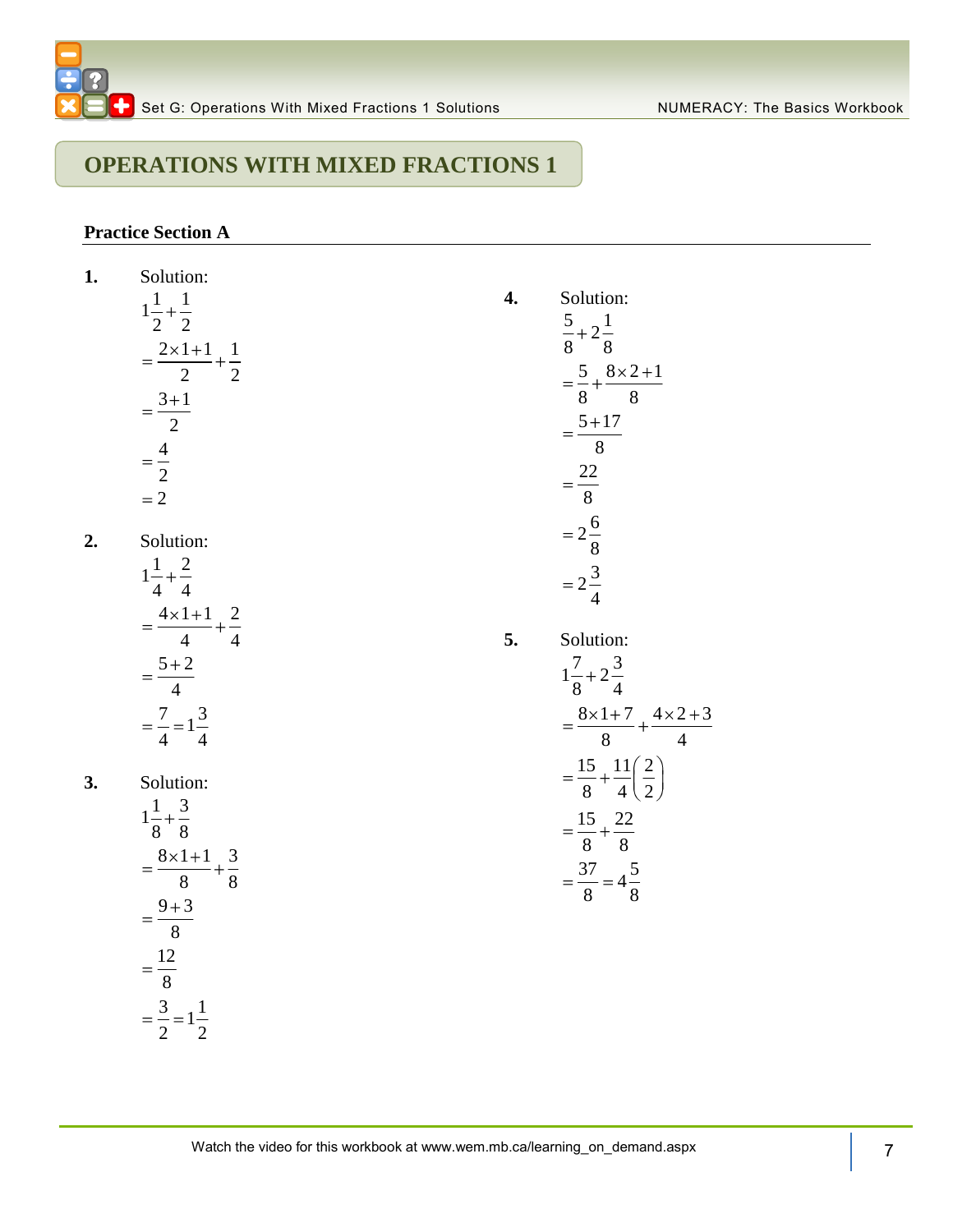**4.** Solution:  $\frac{5}{3} + 2\frac{1}{2}$  $8<sup>8</sup>$ 

**5.** Solution:  $1\frac{7}{6} + 2\frac{3}{4}$  $\frac{1}{8}$  +  $\frac{2}{4}$ 

 $8 \times 1 + 7$   $4 \times 2 + 3$  $\frac{1}{8}$  +  $\frac{1}{4}$ 

 $15 \frac{11}{2}$  $\frac{1}{8}$  +  $\frac{1}{4}$   $\frac{1}{2}$ 15 22  $\frac{1}{8}$  +  $\frac{1}{8}$  $\frac{37}{9} = 4\frac{5}{9}$  $\frac{8}{8}$  = 4 $\frac{8}{8}$ 

## **OPERATIONS WITH MIXED FRACTIONS 1**

#### **Practice Section A**

2 2

1. Solution:  
\n
$$
1\frac{1}{2} + \frac{1}{2}
$$
\n
$$
= \frac{2 \times 1 + 1}{2} + \frac{1}{2}
$$
\n
$$
= \frac{3 + 1}{2}
$$
\n
$$
= \frac{4}{2}
$$
\n
$$
= 2
$$
\n2. Solution:  
\n
$$
1\frac{1}{4} + \frac{2}{4}
$$
\n
$$
= \frac{4 \times 1 + 1}{4} + \frac{2}{4}
$$
\n
$$
= \frac{5 + 2}{4}
$$
\n
$$
= \frac{7}{4} = 1\frac{3}{4}
$$
\n3. Solution:  
\n
$$
1\frac{1}{8} + \frac{3}{8}
$$
\n
$$
= \frac{8 \times 1 + 1}{8} + \frac{3}{8}
$$
\n
$$
= \frac{9 + 3}{8}
$$
\n
$$
= \frac{9 + 3}{8}
$$
\n
$$
= \frac{3}{8} = 1\frac{1}{2}
$$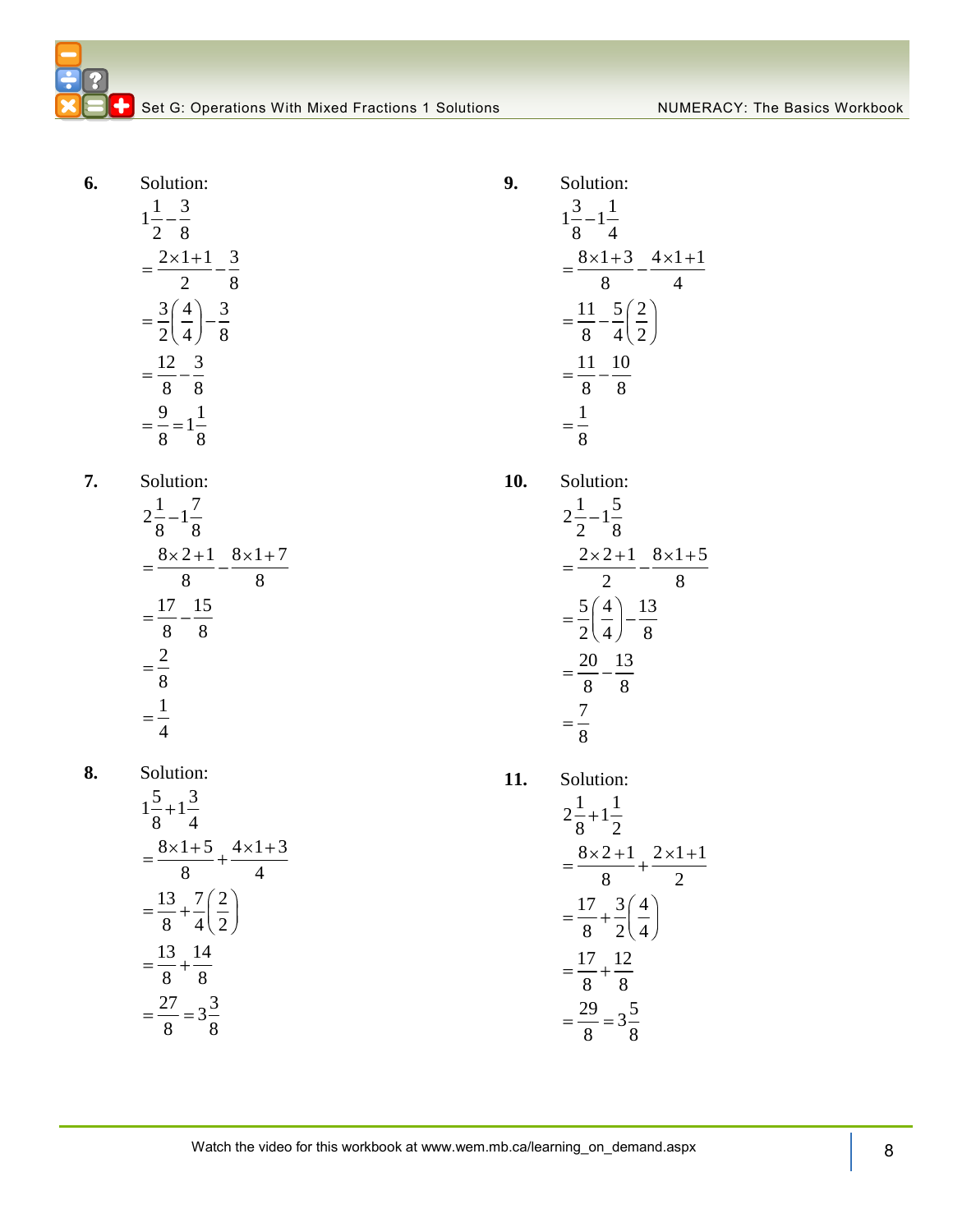Set G: Operations With Mixed Fractions 1 Solutions Numer NUMERACY: The Basics Workbook

**6.** Solution:

$$
1\frac{1}{2} - \frac{3}{8}
$$
  
=  $\frac{2 \times 1 + 1}{2} - \frac{3}{8}$   
=  $\frac{3}{2} (\frac{4}{4}) - \frac{3}{8}$   
=  $\frac{12}{8} - \frac{3}{8}$   
=  $\frac{9}{8} = 1\frac{1}{8}$ 

**7.** Solution:

$$
2\frac{1}{8} - 1\frac{7}{8}
$$
  
=  $\frac{8 \times 2 + 1}{8}$   $\frac{8 \times 1 + 7}{8}$   
=  $\frac{17}{8} - \frac{15}{8}$   
=  $\frac{2}{8}$   
=  $\frac{1}{4}$ 

**8.** Solution:  $1\frac{5}{2}+1\frac{3}{4}$  $\frac{1}{8}$  +  $\frac{1}{4}$  $8 \times 1 + 5$  4  $\times 1 + 3$  $\frac{1}{8}$  +  $\frac{1}{4}$  $13 \t7 \t7 \t2$  $\frac{1}{8}$  +  $\frac{1}{4}$   $\frac{1}{2}$ 13 14  $\frac{1}{8}$   $\frac{1}{8}$  $\frac{27}{2} = 3\frac{3}{3}$ 

 $\frac{8}{8}$  –  $\frac{5}{8}$ 

Solution:  
\n
$$
1\frac{3}{8} - 1\frac{1}{4}
$$
\n
$$
= \frac{8 \times 1 + 3}{8} - \frac{4 \times 1 + 1}{4}
$$
\n
$$
= \frac{11}{8} - \frac{5}{4} \left(\frac{2}{2}\right)
$$
\n
$$
= \frac{11}{8} - \frac{10}{8}
$$
\n
$$
= \frac{1}{8}
$$

**9.** 

**10.** Solution:  $2\frac{1}{2} - 1\frac{5}{2}$  $\frac{1}{2}$   $\frac{1}{8}$  $2 \times 2 + 1 \quad 8 \times 1 + 5$  $\overline{2}$   $\overline{8}$  $5(4)$  13  $\frac{1}{2}(\frac{1}{4})^{-\frac{1}{8}}$ 20 13  $\frac{2}{8}$  –  $\frac{2}{8}$ 7 8

**11.** Solution:  $2\frac{1}{2}+1\frac{1}{2}$  $\frac{1}{8}$ <sup>+1</sup> $\frac{1}{2}$  $8 \times 2 + 1$   $2 \times 1 + 1$  $\overline{8}$   $\overline{2}$  $17 \frac{3}{4}$  $\frac{1}{8}$  +  $\frac{1}{2}$   $\frac{1}{4}$ 17 12  $\frac{1}{8}$   $\frac{1}{8}$  $\frac{29}{2} = 3\frac{5}{3}$  $\frac{8}{8}$  –  $\frac{5}{8}$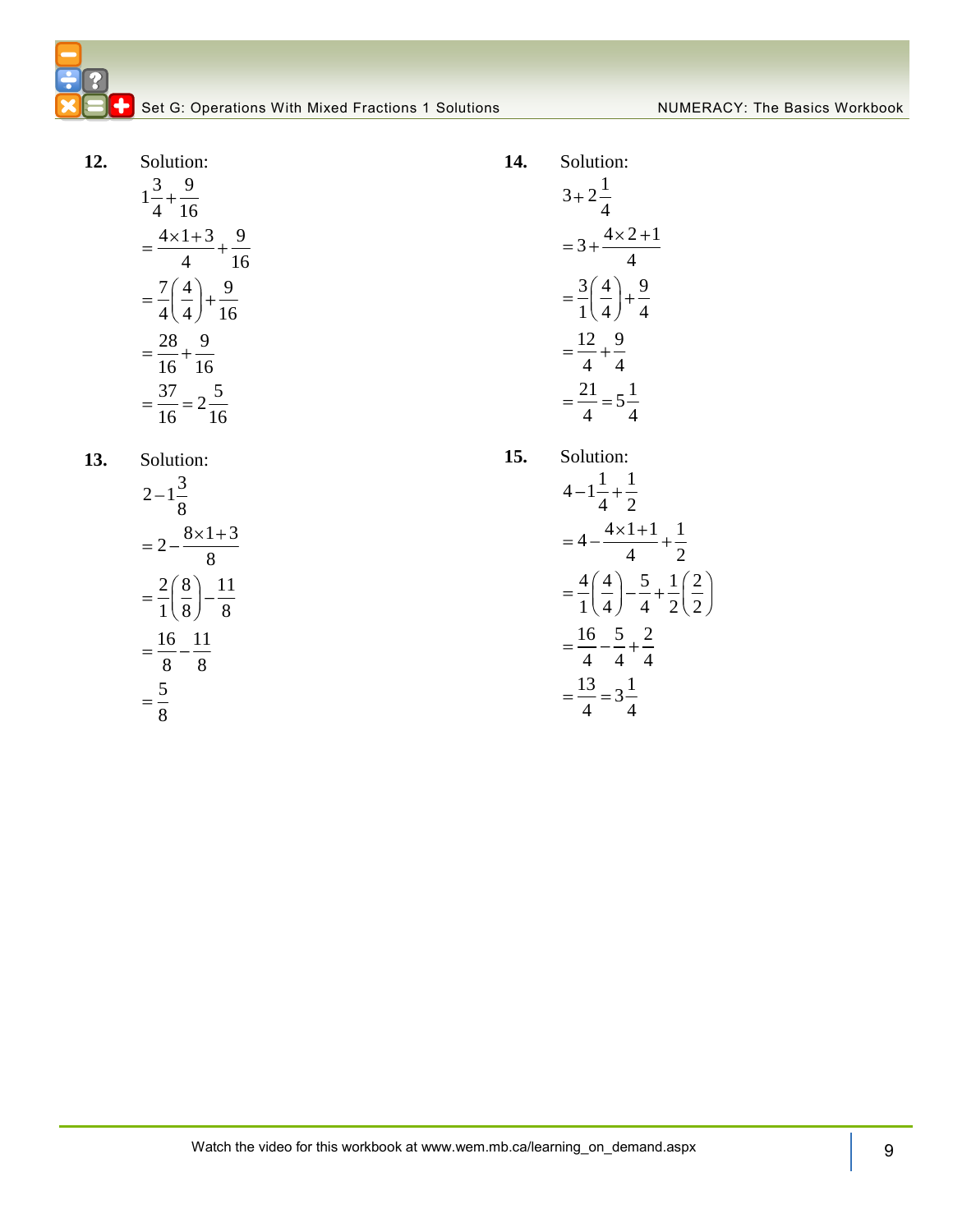**C** Set G: Operations With Mixed Fractions 1 Solutions NumerACY: The Basics Workbook

- **12.** Solution:  $1\frac{3}{1} + \frac{9}{1}$ 4 16  $4 \times 1 + 3$  9 4 16  $7(4)$  9  $4(4)$  16 28 9 16 16  $\frac{37}{17} = 2\frac{5}{17}$ 16 16
- **13.** Solution:

$$
2-1\frac{3}{8}
$$
  
=  $2-\frac{8\times1+3}{8}$   
=  $\frac{2}{1}\left(\frac{8}{8}\right)-\frac{11}{8}$   
=  $\frac{16}{8}-\frac{11}{8}$   
=  $\frac{5}{8}$ 

**14.** Solution:  $3 + 2^{\frac{1}{2}}$ 4  $3 + \frac{4 \times 2 + 1}{4}$ 4  $3(4)$  9  $1(4)$  4 12 9 4 4  $\frac{21}{1} = 5\frac{1}{1}$ 4 4

**15.** 

Solution:  
\n
$$
4 - 1\frac{1}{4} + \frac{1}{2}
$$
\n
$$
= 4 - \frac{4 \times 1 + 1}{4} + \frac{1}{2}
$$
\n
$$
= \frac{4}{1} \left(\frac{4}{4}\right) - \frac{5}{4} + \frac{1}{2} \left(\frac{2}{2}\right)
$$
\n
$$
= \frac{16}{4} - \frac{5}{4} + \frac{2}{4}
$$
\n
$$
= \frac{13}{4} = 3\frac{1}{4}
$$

Watch the video for this workbo 9 ok at www.wem.mb.ca/learning\_on\_demand.aspx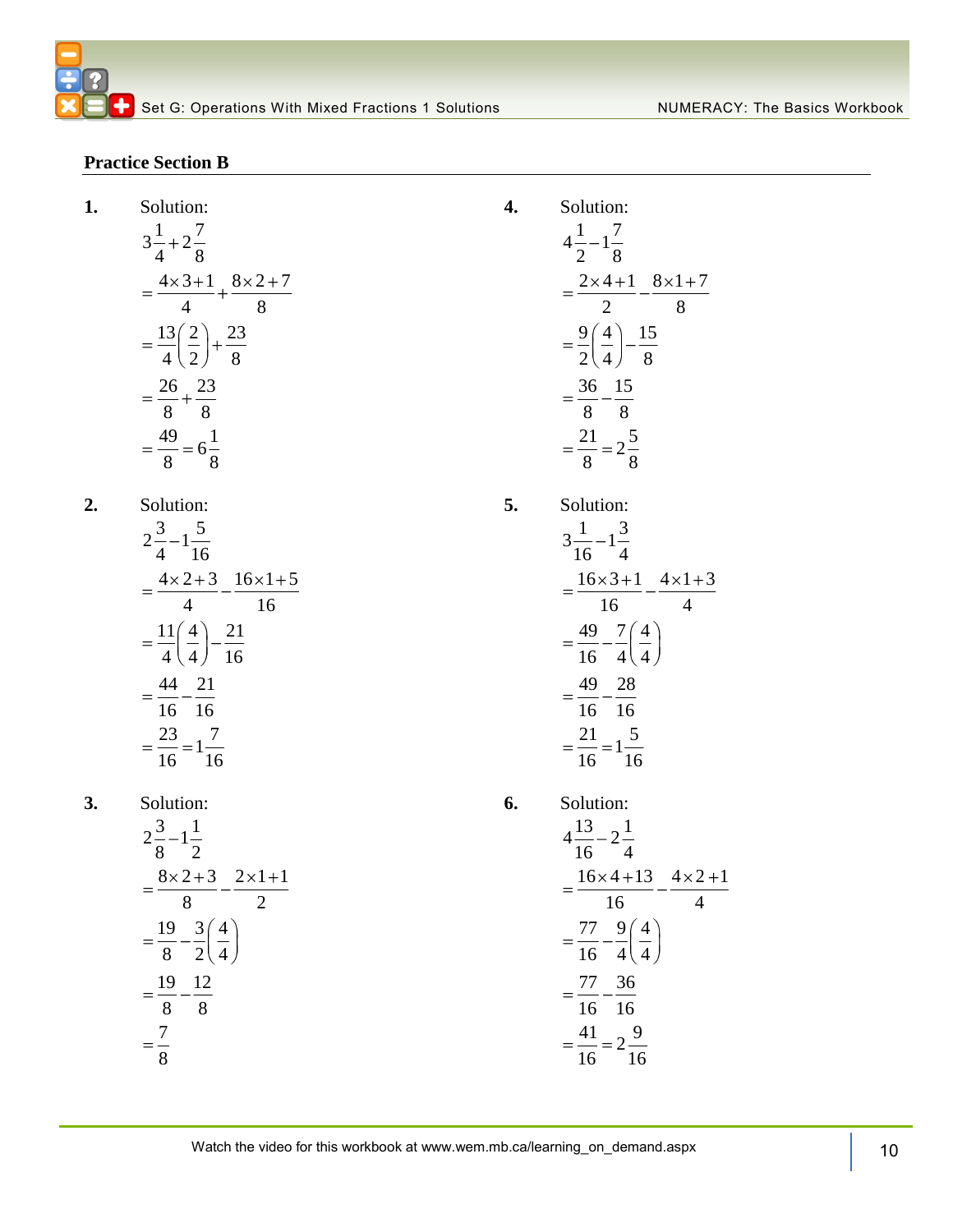#### **Practice Section B**

**1.** 

 $2.$ 

Solution:  
\n
$$
3\frac{1}{4} + 2\frac{7}{8}
$$
\n
$$
= \frac{4 \times 3 + 1}{4} + \frac{8 \times 2 + 7}{8}
$$
\n
$$
= \frac{13}{4} \left(\frac{2}{2}\right) + \frac{23}{8}
$$
\n
$$
= \frac{26}{8} + \frac{23}{8}
$$
\n
$$
= \frac{49}{8} = 6\frac{1}{8}
$$
\nSolution:  
\n
$$
2\frac{3}{4} - 1\frac{5}{16}
$$
\n
$$
= \frac{4 \times 2 + 3}{8} - \frac{16 \times 1 + 5}{8}
$$

$$
= \frac{4 \times 2 + 3}{4} - \frac{16 \times 1}{16}
$$

$$
= \frac{11}{4} \left(\frac{4}{4}\right) - \frac{21}{16}
$$

$$
= \frac{44}{16} - \frac{21}{16}
$$

$$
= \frac{23}{16} = 1\frac{7}{16}
$$

**3.** Solution:

$$
2\frac{3}{8} - 1\frac{1}{2}
$$
  
=  $\frac{8 \times 2 + 3}{8} - \frac{2 \times 1 + 1}{2}$   
=  $\frac{19}{8} - \frac{3}{2} \left(\frac{4}{4}\right)$   
=  $\frac{19}{8} - \frac{12}{8}$   
=  $\frac{7}{8}$ 

Solution:  
\n
$$
4\frac{1}{2} - 1\frac{7}{8}
$$
\n
$$
= \frac{2 \times 4 + 1}{2} - \frac{8 \times 1 + 7}{8}
$$
\n
$$
= \frac{9}{2} \left(\frac{4}{4}\right) - \frac{15}{8}
$$
\n
$$
= \frac{36}{8} - \frac{15}{8}
$$
\n
$$
= \frac{21}{8} = 2\frac{5}{8}
$$
\nSolution:  
\n
$$
3\frac{1}{16} - 1\frac{3}{4}
$$
\n
$$
= 16 \times 3 + 1 = 4 \times 1 + 3
$$

**4.** Solution:

**5.** Solution:

**6.** 

$$
= \frac{49}{16} - \frac{7}{4} \left(\frac{4}{4}\right)
$$

$$
= \frac{49}{16} - \frac{7}{4} \left(\frac{4}{4}\right)
$$

$$
= \frac{49}{16} - \frac{28}{16}
$$

$$
= \frac{21}{16} = 1\frac{5}{16}
$$
  
Solution:

$$
4\frac{13}{16} - 2\frac{1}{4}
$$
  
= 
$$
\frac{16 \times 4 + 13}{16} - \frac{4 \times 2 + 1}{4}
$$
  
= 
$$
\frac{77}{16} - \frac{9}{4} \left(\frac{4}{4}\right)
$$
  
= 
$$
\frac{77}{16} - \frac{36}{16}
$$
  
= 
$$
\frac{41}{16} = 2\frac{9}{16}
$$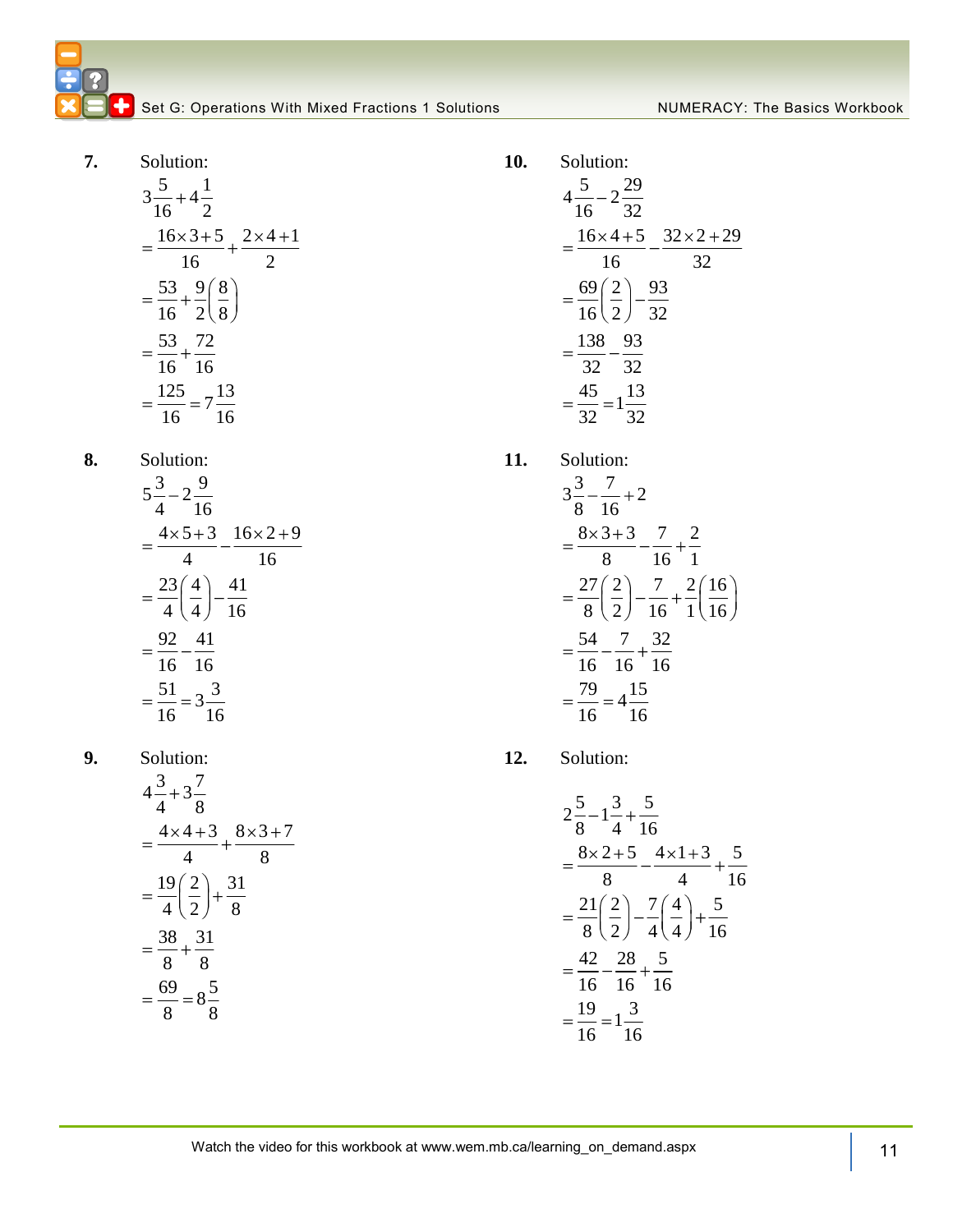Set G: Operations With Mixed Fractions 1 Solutions Numer NUMERACY: The Basics Workbook

- **7.** Solution:  $3\frac{5}{16} + 4\frac{1}{2}$  $\frac{1}{16}$  + 4 $\frac{1}{2}$  $16 \times 3 + 5$   $2 \times 4 + 1$  $\frac{16}{16}$  +  $\frac{2}{2}$  $53 \big) 9 \big) 8$  $\frac{1}{16} + \frac{1}{2}$  $\left(\frac{1}{8}\right)$ 53 72  $\frac{1}{16} + \frac{1}{16}$  $\frac{125}{11} = 7\frac{13}{11}$  $\frac{1}{16} = 7\frac{1}{16}$
- **8.** Solution:

$$
5\frac{3}{4} - 2\frac{9}{16}
$$
  
=  $\frac{4 \times 5 + 3}{4} - \frac{16 \times 2 + 9}{16}$   
=  $\frac{23}{4} \left(\frac{4}{4}\right) - \frac{41}{16}$   
=  $\frac{92}{16} - \frac{41}{16}$   
=  $\frac{51}{16} = 3\frac{3}{16}$ 

**9.** Solution:

$$
4\frac{3}{4} + 3\frac{7}{8}
$$
  
=  $\frac{4 \times 4 + 3}{4} + \frac{8 \times 3 + 7}{8}$   
=  $\frac{19}{4} (\frac{2}{2}) + \frac{31}{8}$   
=  $\frac{38}{8} + \frac{31}{8}$   
=  $\frac{69}{8} = 8\frac{5}{8}$ 

**10.** Solution:  $\frac{5}{4} - 2\frac{29}{32}$  $\frac{x}{16} - 2\frac{y}{32}$  $16 \times 4 + 5$   $32 \times 2 + 29$  $\frac{16}{16}$   $\frac{32}{}$  $69(2)$  93  $\frac{1}{16}(\frac{1}{2})^{-\frac{1}{32}}$ 138 93  $\frac{1}{32} - \frac{1}{32}$  $\frac{45}{22} = 1\frac{13}{22}$  $\frac{1}{32}$  = 1 $\frac{1}{32}$ 

**11.** Solution:

$$
3\frac{3}{8} - \frac{7}{16} + 2
$$
  
=  $\frac{8 \times 3 + 3}{8} - \frac{7}{16} + \frac{2}{16}$   
=  $\frac{27}{8} (\frac{2}{2}) - \frac{7}{16} + \frac{2}{1} (\frac{16}{16})$   
=  $\frac{54}{16} - \frac{7}{16} + \frac{32}{16}$   
=  $\frac{79}{16} = 4\frac{15}{16}$ 

**12.** Solution:

$$
2\frac{5}{8} - 1\frac{3}{4} + \frac{5}{16}
$$
  
=  $\frac{8 \times 2 + 5}{8} - \frac{4 \times 1 + 3}{4} + \frac{5}{16}$   
=  $\frac{21}{8} \left(\frac{2}{2}\right) - \frac{7}{4} \left(\frac{4}{4}\right) + \frac{5}{16}$   
=  $\frac{42}{16} - \frac{28}{16} + \frac{5}{16}$   
=  $\frac{19}{16} = 1\frac{3}{16}$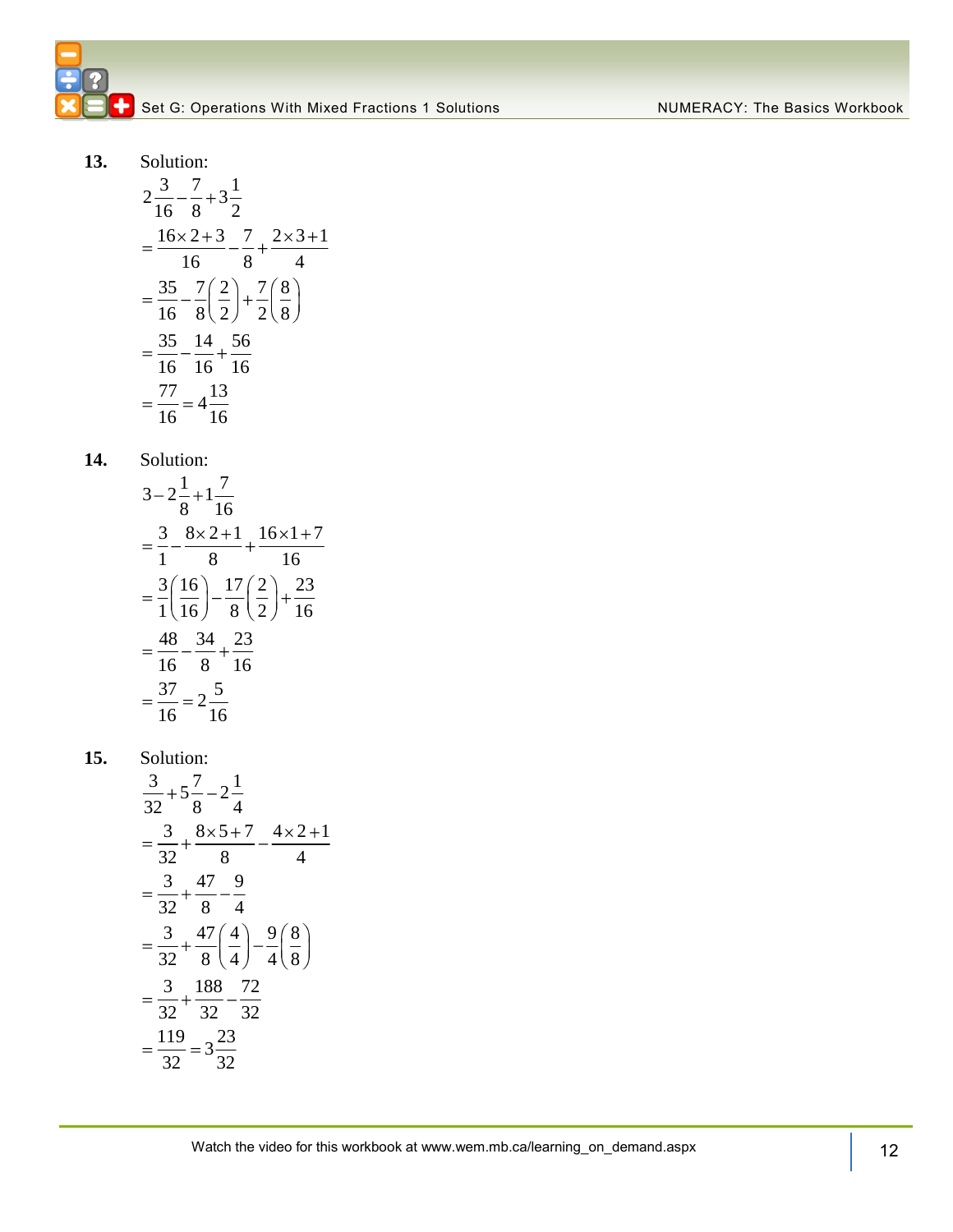**13.** Solution:

$$
2\frac{3}{16} - \frac{7}{8} + 3\frac{1}{2}
$$
  
=  $\frac{16 \times 2 + 3}{16} - \frac{7}{8} + \frac{2 \times 3 + 1}{4}$   
=  $\frac{35}{16} - \frac{7}{8} (\frac{2}{2}) + \frac{7}{2} (\frac{8}{8})$   
=  $\frac{35}{16} - \frac{14}{16} + \frac{56}{16}$   
=  $\frac{77}{16} = 4\frac{13}{16}$ 

**14.** Solution:

$$
3-2\frac{1}{8}+1\frac{7}{16}
$$
  
=  $\frac{3}{1}-\frac{8\times2+1}{8}+\frac{16\times1+7}{16}$   
=  $\frac{3}{1}\left(\frac{16}{16}\right)-\frac{17}{8}\left(\frac{2}{2}\right)+\frac{23}{16}$   
=  $\frac{48}{16}-\frac{34}{8}+\frac{23}{16}$   
=  $\frac{37}{16}=2\frac{5}{16}$ 

**15.** Solution:

$$
\frac{3}{32} + 5\frac{7}{8} - 2\frac{1}{4}
$$
\n
$$
= \frac{3}{32} + \frac{8 \times 5 + 7}{8} - \frac{4 \times 2 + 1}{4}
$$
\n
$$
= \frac{3}{32} + \frac{47}{8} - \frac{9}{4}
$$
\n
$$
= \frac{3}{32} + \frac{47}{8} \left(\frac{4}{4}\right) - \frac{9}{4} \left(\frac{8}{8}\right)
$$
\n
$$
= \frac{3}{32} + \frac{188}{32} - \frac{72}{32}
$$
\n
$$
= \frac{119}{32} = 3\frac{23}{32}
$$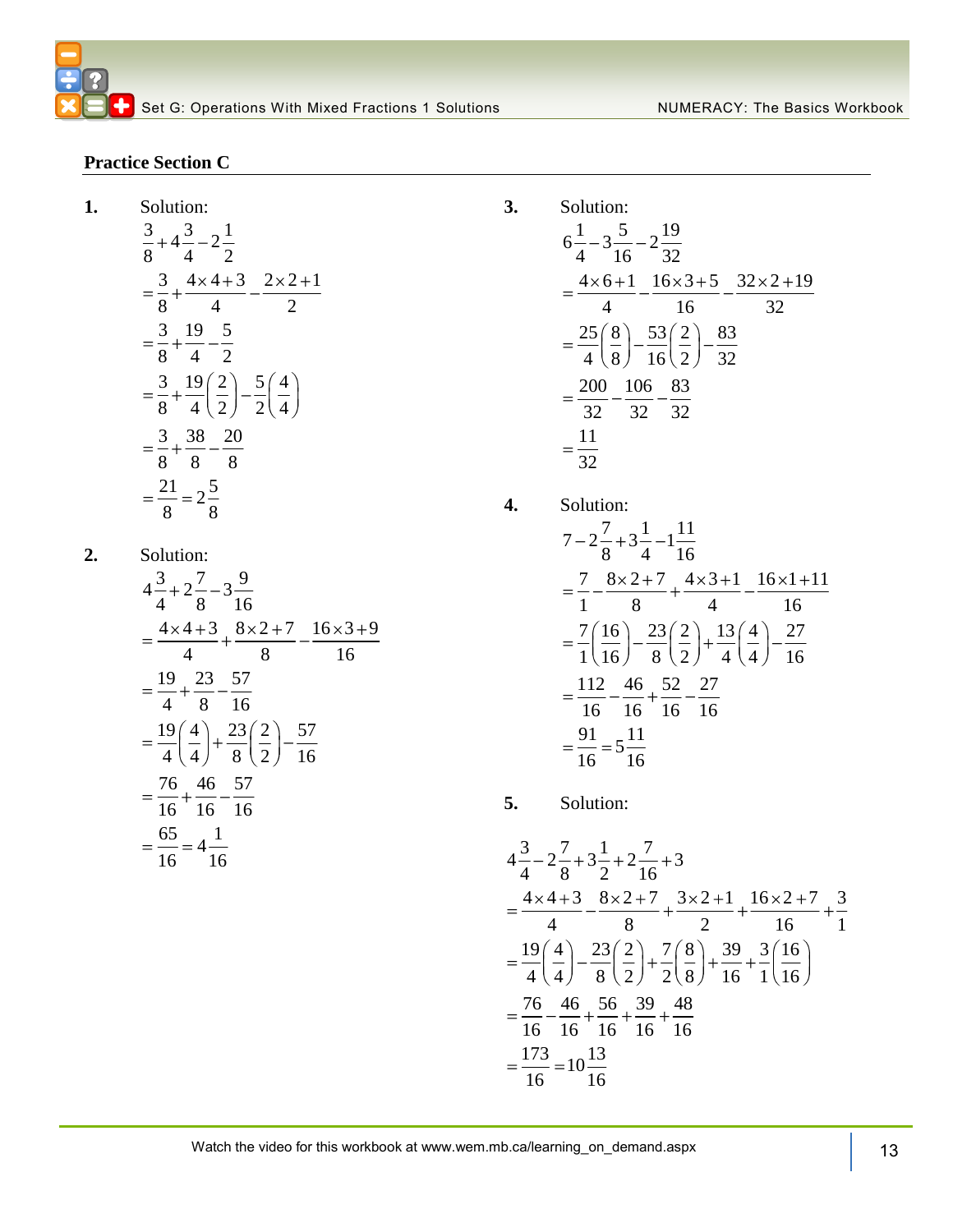#### **Practice Section C**

**1.** 

Solution:  
\n
$$
\frac{3}{8} + 4\frac{3}{4} - 2\frac{1}{2}
$$
\n
$$
= \frac{3}{8} + \frac{4 \times 4 + 3}{4} - \frac{2 \times 2 + 1}{2}
$$
\n
$$
= \frac{3}{8} + \frac{19}{4} - \frac{5}{2}
$$
\n
$$
= \frac{3}{8} + \frac{19}{4} \left(\frac{2}{2}\right) - \frac{5}{2} \left(\frac{4}{4}\right)
$$
\n
$$
= \frac{3}{8} + \frac{38}{8} - \frac{20}{8}
$$
\n
$$
= \frac{21}{8} = 2\frac{5}{8}
$$

2. Solution:  
\n
$$
4\frac{3}{4} + 2\frac{7}{8} - 3\frac{9}{16}
$$
\n
$$
= \frac{4 \times 4 + 3}{4} + \frac{8 \times 2 + 7}{8} - \frac{16 \times 3 + 9}{16}
$$
\n
$$
= \frac{19}{4} + \frac{23}{8} - \frac{57}{16}
$$
\n
$$
= \frac{19}{4} \left(\frac{4}{4}\right) + \frac{23}{8} \left(\frac{2}{2}\right) - \frac{57}{16}
$$
\n
$$
= \frac{76}{16} + \frac{46}{16} - \frac{57}{16}
$$
\n
$$
= \frac{65}{16} = 4\frac{1}{16}
$$

3. Solution:  
\n
$$
6\frac{1}{4} - 3\frac{5}{16} - 2\frac{19}{32}
$$
\n
$$
= \frac{4 \times 6 + 1}{4} - \frac{16 \times 3 + 5}{16} - \frac{32 \times 2 + 19}{32}
$$
\n
$$
= \frac{25}{4} \left(\frac{8}{8}\right) - \frac{53}{16} \left(\frac{2}{2}\right) - \frac{83}{32}
$$
\n
$$
= \frac{200}{32} - \frac{106}{32} - \frac{83}{32}
$$
\n
$$
= \frac{11}{32}
$$

4. Solution:  
\n
$$
7-2\frac{7}{8}+3\frac{1}{4}-1\frac{11}{16}
$$
\n
$$
=\frac{7}{1}-\frac{8\times2+7}{8}+\frac{4\times3+1}{4}-\frac{16\times1+11}{16}
$$
\n
$$
=\frac{7}{1}\left(\frac{16}{16}\right)-\frac{23}{8}\left(\frac{2}{2}\right)+\frac{13}{4}\left(\frac{4}{4}\right)-\frac{27}{16}
$$
\n
$$
=\frac{112}{16}-\frac{46}{16}+ \frac{52}{16}-\frac{27}{16}
$$
\n
$$
=\frac{91}{16}=5\frac{11}{16}
$$

**5.** Solution:

$$
4\frac{3}{4} - 2\frac{7}{8} + 3\frac{1}{2} + 2\frac{7}{16} + 3
$$
  
=  $\frac{4 \times 4 + 3}{4} - \frac{8 \times 2 + 7}{8} + \frac{3 \times 2 + 1}{2} + \frac{16 \times 2 + 7}{16} + \frac{3}{1}$   
=  $\frac{19}{4}(\frac{4}{4}) - \frac{23}{8}(\frac{2}{2}) + \frac{7}{2}(\frac{8}{8}) + \frac{39}{16} + \frac{3}{1}(\frac{16}{16})$   
=  $\frac{76}{16} - \frac{46}{16} + \frac{56}{16} + \frac{39}{16} + \frac{48}{16}$   
=  $\frac{173}{16} = 10\frac{13}{16}$